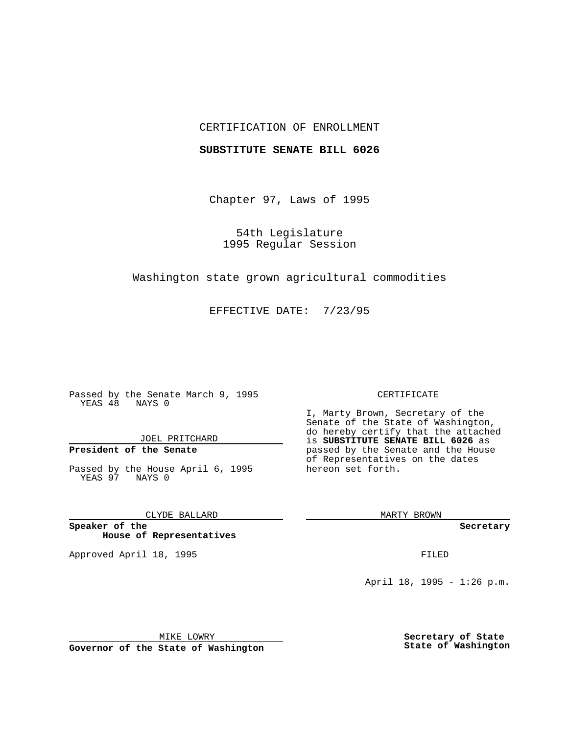## CERTIFICATION OF ENROLLMENT

## **SUBSTITUTE SENATE BILL 6026**

Chapter 97, Laws of 1995

54th Legislature 1995 Regular Session

# Washington state grown agricultural commodities

EFFECTIVE DATE: 7/23/95

Passed by the Senate March 9, 1995 YEAS 48 NAYS 0

JOEL PRITCHARD

# **President of the Senate**

Passed by the House April 6, 1995 YEAS 97 NAYS 0

CLYDE BALLARD

**Speaker of the House of Representatives**

Approved April 18, 1995 FILED

#### CERTIFICATE

I, Marty Brown, Secretary of the Senate of the State of Washington, do hereby certify that the attached is **SUBSTITUTE SENATE BILL 6026** as passed by the Senate and the House of Representatives on the dates hereon set forth.

MARTY BROWN

**Secretary**

April 18, 1995 - 1:26 p.m.

MIKE LOWRY

**Governor of the State of Washington**

**Secretary of State State of Washington**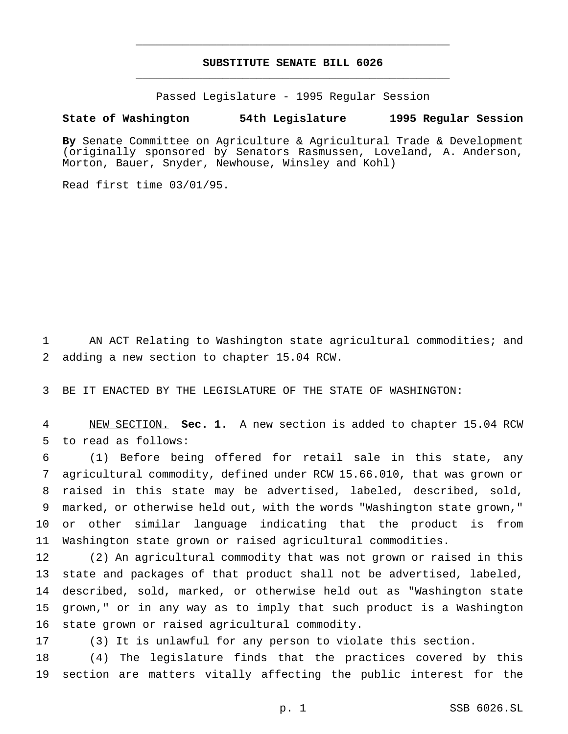# **SUBSTITUTE SENATE BILL 6026** \_\_\_\_\_\_\_\_\_\_\_\_\_\_\_\_\_\_\_\_\_\_\_\_\_\_\_\_\_\_\_\_\_\_\_\_\_\_\_\_\_\_\_\_\_\_\_

\_\_\_\_\_\_\_\_\_\_\_\_\_\_\_\_\_\_\_\_\_\_\_\_\_\_\_\_\_\_\_\_\_\_\_\_\_\_\_\_\_\_\_\_\_\_\_

Passed Legislature - 1995 Regular Session

## **State of Washington 54th Legislature 1995 Regular Session**

**By** Senate Committee on Agriculture & Agricultural Trade & Development (originally sponsored by Senators Rasmussen, Loveland, A. Anderson, Morton, Bauer, Snyder, Newhouse, Winsley and Kohl)

Read first time 03/01/95.

 AN ACT Relating to Washington state agricultural commodities; and adding a new section to chapter 15.04 RCW.

BE IT ENACTED BY THE LEGISLATURE OF THE STATE OF WASHINGTON:

 NEW SECTION. **Sec. 1.** A new section is added to chapter 15.04 RCW to read as follows:

 (1) Before being offered for retail sale in this state, any agricultural commodity, defined under RCW 15.66.010, that was grown or raised in this state may be advertised, labeled, described, sold, marked, or otherwise held out, with the words "Washington state grown," or other similar language indicating that the product is from Washington state grown or raised agricultural commodities.

 (2) An agricultural commodity that was not grown or raised in this state and packages of that product shall not be advertised, labeled, described, sold, marked, or otherwise held out as "Washington state grown," or in any way as to imply that such product is a Washington state grown or raised agricultural commodity.

(3) It is unlawful for any person to violate this section.

 (4) The legislature finds that the practices covered by this section are matters vitally affecting the public interest for the